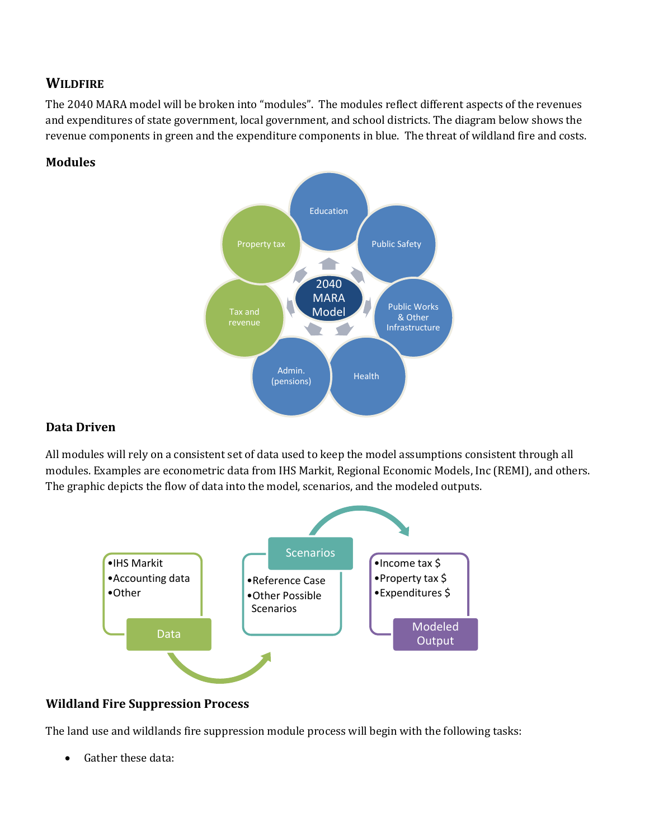# **WILDFIRE**

The 2040 MARA model will be broken into "modules". The modules reflect different aspects of the revenues and expenditures of state government, local government, and school districts. The diagram below shows the revenue components in green and the expenditure components in blue. The threat of wildland fire and costs.

#### **Modules**



## **Data Driven**

All modules will rely on a consistent set of data used to keep the model assumptions consistent through all modules. Examples are econometric data from IHS Markit, Regional Economic Models, Inc (REMI), and others. The graphic depicts the flow of data into the model, scenarios, and the modeled outputs.



## **Wildland Fire Suppression Process**

The land use and wildlands fire suppression module process will begin with the following tasks:

Gather these data: